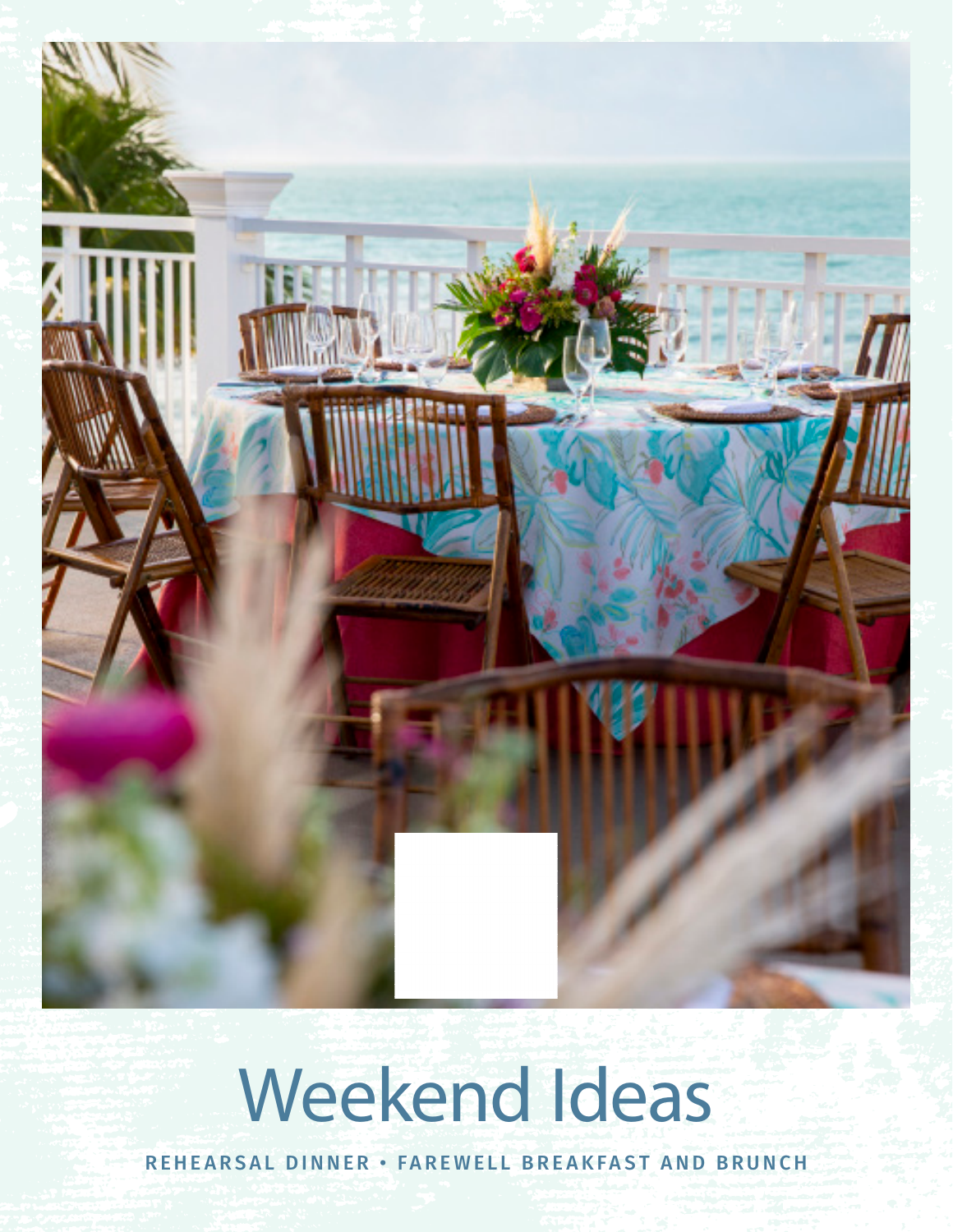

# Weekend Ideas

REHEARSAL DINNER • FAREWELL BREAKFAST AND BRUNCH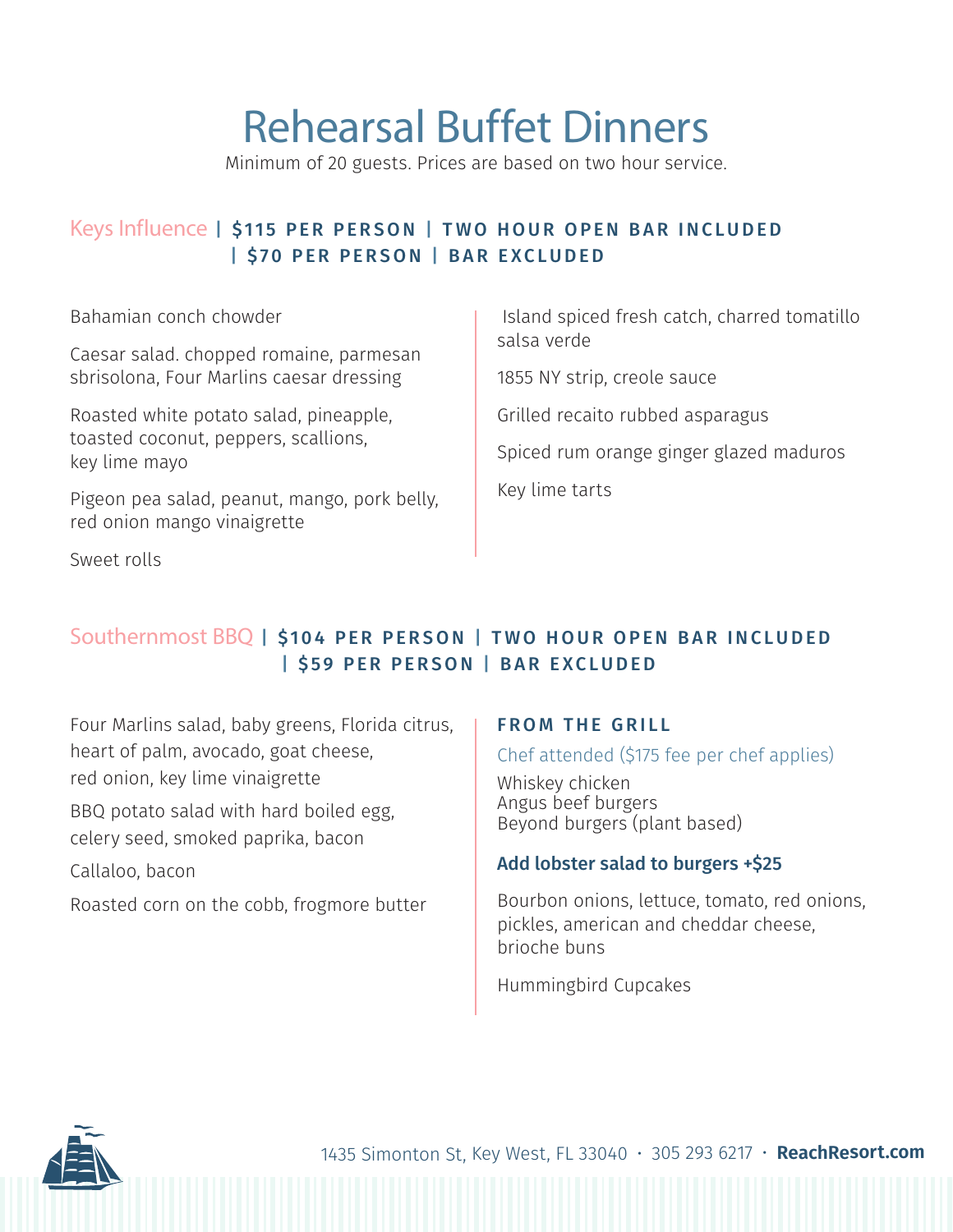# Rehearsal Buffet Dinners

Minimum of 20 guests. Prices are based on two hour service.

### Keys Influence | \$115 PER PERSON | TWO HOUR OPEN BAR INCLUDED | \$70 PER PERSON | BAR EXCLUDED

Bahamian conch chowder

Caesar salad. chopped romaine, parmesan sbrisolona, Four Marlins caesar dressing

Roasted white potato salad, pineapple, toasted coconut, peppers, scallions, key lime mayo

Pigeon pea salad, peanut, mango, pork belly, red onion mango vinaigrette

Sweet rolls

 Island spiced fresh catch, charred tomatillo salsa verde

1855 NY strip, creole sauce

Grilled recaito rubbed asparagus

Spiced rum orange ginger glazed maduros

Key lime tarts

### Southernmost BBQ | \$104 PER PERSON | TWO HOUR OPEN BAR INCLUDED | \$59 PER PERSON | BAR EXCLUDED

Four Marlins salad, baby greens, Florida citrus, heart of palm, avocado, goat cheese, red onion, key lime vinaigrette

BBQ potato salad with hard boiled egg, celery seed, smoked paprika, bacon

Callaloo, bacon

Roasted corn on the cobb, frogmore butter

### FROM THE GRILL

#### Chef attended (\$175 fee per chef applies)

Whiskey chicken Angus beef burgers Beyond burgers (plant based)

#### Add lobster salad to burgers +\$25

Bourbon onions, lettuce, tomato, red onions, pickles, american and cheddar cheese, brioche buns

Hummingbird Cupcakes

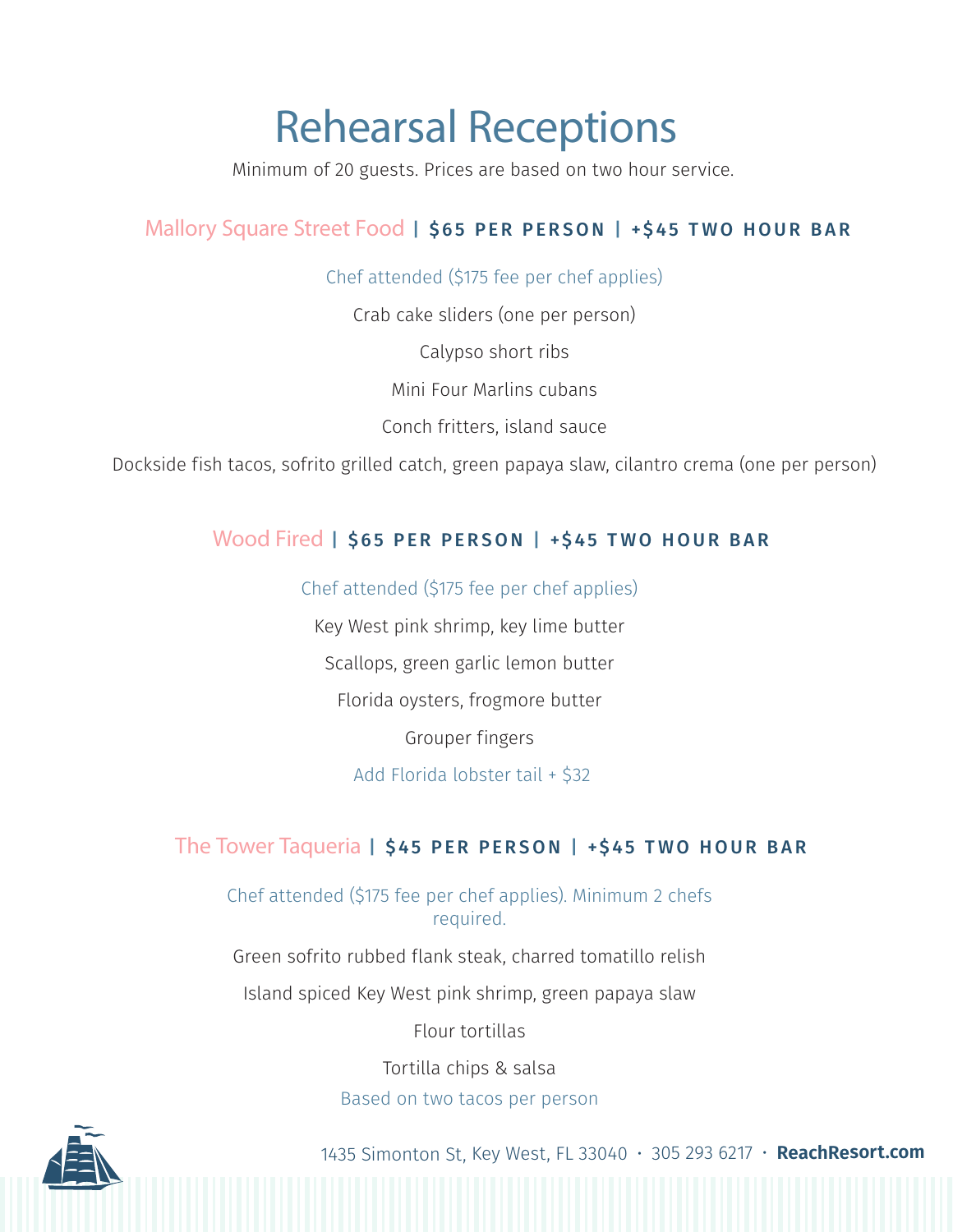# Rehearsal Receptions

Minimum of 20 guests. Prices are based on two hour service.

## Mallory Square Street Food | \$65 PER PERSON | +\$45 TWO HOUR BAR

Chef attended (\$175 fee per chef applies)

Crab cake sliders (one per person)

Calypso short ribs

Mini Four Marlins cubans

Conch fritters, island sauce

Dockside fish tacos, sofrito grilled catch, green papaya slaw, cilantro crema (one per person)

### Wood Fired | \$65 PER PERSON | +\$45 TWO HOUR BAR

Chef attended (\$175 fee per chef applies)

Key West pink shrimp, key lime butter Scallops, green garlic lemon butter Florida oysters, frogmore butter Grouper fingers Add Florida lobster tail + \$32

### The Tower Taqueria | \$45 PER PERSON | +\$45 TWO HOUR BAR

Chef attended (\$175 fee per chef applies). Minimum 2 chefs required.

Green sofrito rubbed flank steak, charred tomatillo relish

Island spiced Key West pink shrimp, green papaya slaw

Flour tortillas

Tortilla chips & salsa

### Based on two tacos per person

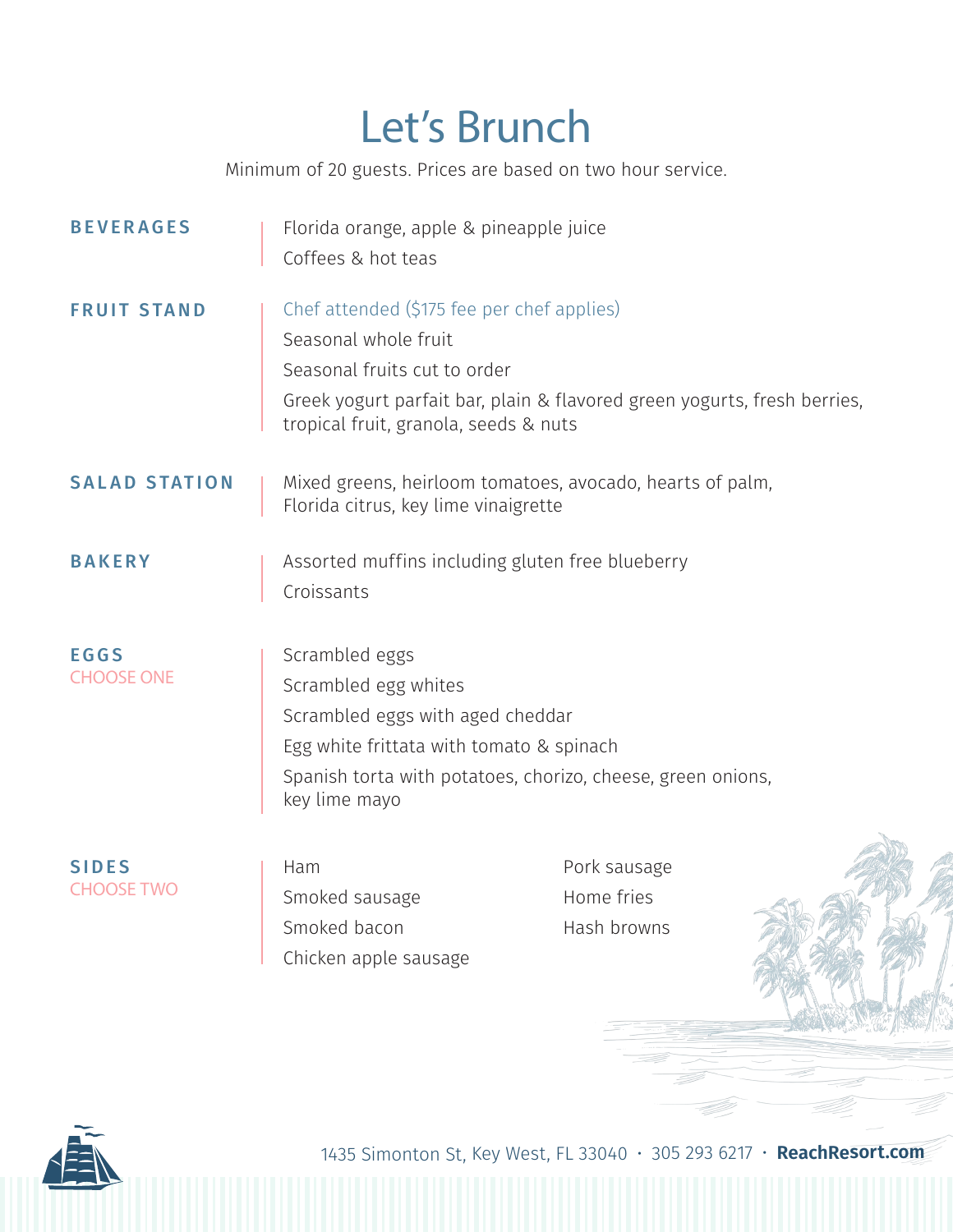# Let's Brunch

Minimum of 20 guests. Prices are based on two hour service.

| <b>BEVERAGES</b>                  | Florida orange, apple & pineapple juice<br>Coffees & hot teas                                                                                                                                                           |                                           |  |
|-----------------------------------|-------------------------------------------------------------------------------------------------------------------------------------------------------------------------------------------------------------------------|-------------------------------------------|--|
| <b>FRUIT STAND</b>                | Chef attended (\$175 fee per chef applies)<br>Seasonal whole fruit<br>Seasonal fruits cut to order<br>Greek yogurt parfait bar, plain & flavored green yogurts, fresh berries,<br>tropical fruit, granola, seeds & nuts |                                           |  |
| <b>SALAD STATION</b>              | Mixed greens, heirloom tomatoes, avocado, hearts of palm,<br>Florida citrus, key lime vinaigrette                                                                                                                       |                                           |  |
| <b>BAKERY</b>                     | Assorted muffins including gluten free blueberry<br>Croissants                                                                                                                                                          |                                           |  |
| <b>EGGS</b><br><b>CHOOSE ONE</b>  | Scrambled eggs<br>Scrambled egg whites<br>Scrambled eggs with aged cheddar<br>Egg white frittata with tomato & spinach<br>Spanish torta with potatoes, chorizo, cheese, green onions,<br>key lime mayo                  |                                           |  |
| <b>SIDES</b><br><b>CHOOSE TWO</b> | Ham<br>Smoked sausage<br>Smoked bacon<br>Chicken apple sausage                                                                                                                                                          | Pork sausage<br>Home fries<br>Hash browns |  |



1435 Simonton St, Key West, FL 33040 • 305 293 6217 • **ReachResort.com**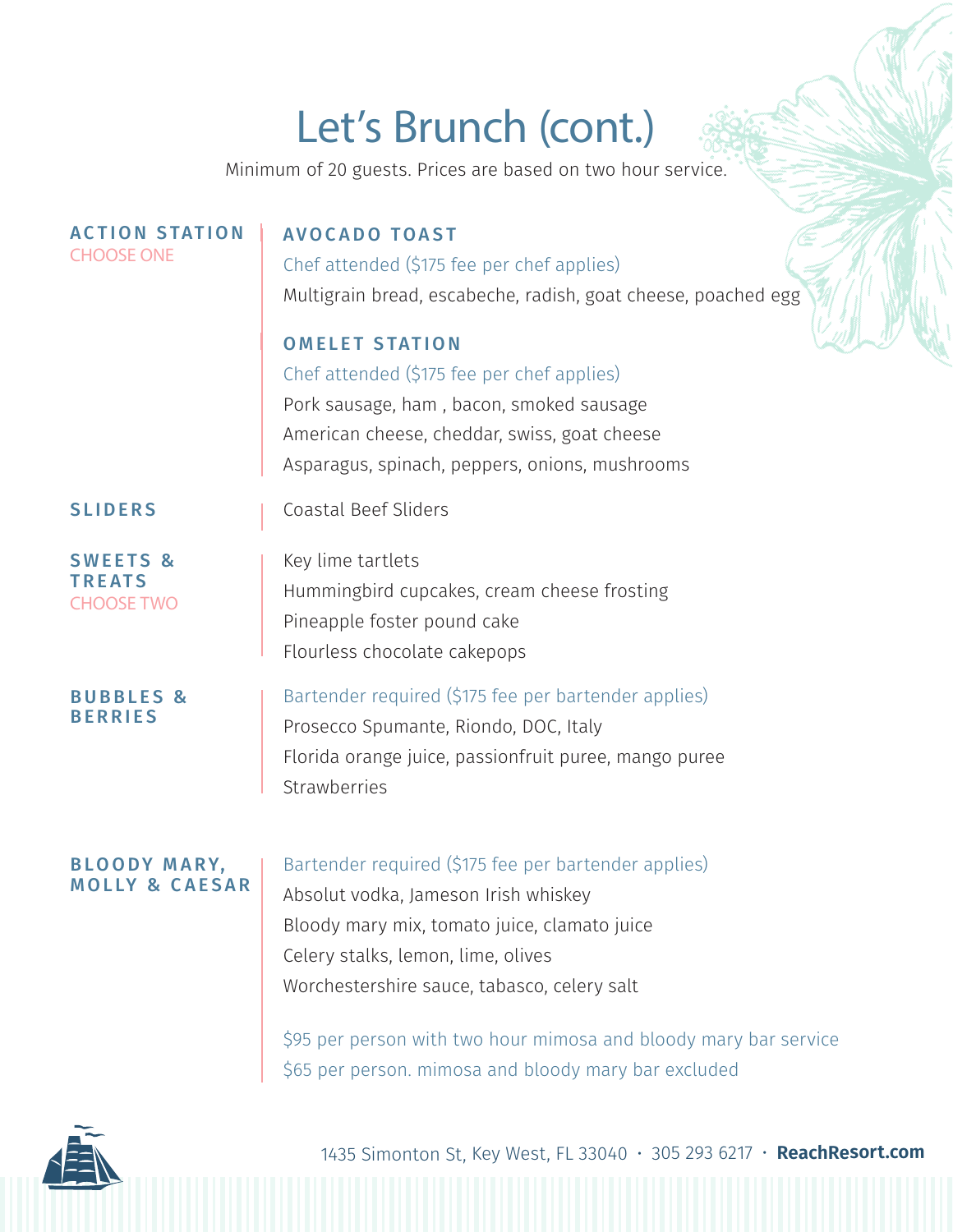# Let's Brunch (cont.)

Minimum of 20 guests. Prices are based on two hour service.

| <b>ACTION STATION</b><br><b>CHOOSE ONE</b>                | <b>AVOCADO TOAST</b><br>Chef attended (\$175 fee per chef applies)<br>Multigrain bread, escabeche, radish, goat cheese, poached egg                                                                                                                                                                                                                           |
|-----------------------------------------------------------|---------------------------------------------------------------------------------------------------------------------------------------------------------------------------------------------------------------------------------------------------------------------------------------------------------------------------------------------------------------|
|                                                           | <b>OMELET STATION</b><br>Chef attended (\$175 fee per chef applies)<br>Pork sausage, ham, bacon, smoked sausage<br>American cheese, cheddar, swiss, goat cheese<br>Asparagus, spinach, peppers, onions, mushrooms                                                                                                                                             |
| <b>SLIDERS</b>                                            | <b>Coastal Beef Sliders</b>                                                                                                                                                                                                                                                                                                                                   |
| <b>SWEETS &amp;</b><br><b>TREATS</b><br><b>CHOOSE TWO</b> | Key lime tartlets<br>Hummingbird cupcakes, cream cheese frosting<br>Pineapple foster pound cake<br>Flourless chocolate cakepops                                                                                                                                                                                                                               |
| <b>BUBBLES &amp;</b><br><b>BERRIES</b>                    | Bartender required (\$175 fee per bartender applies)<br>Prosecco Spumante, Riondo, DOC, Italy<br>Florida orange juice, passionfruit puree, mango puree<br>Strawberries                                                                                                                                                                                        |
| <b>BLOODY MARY,</b><br><b>MOLLY &amp; CAESAR</b>          | Bartender required (\$175 fee per bartender applies)<br>Absolut vodka, Jameson Irish whiskey<br>Bloody mary mix, tomato juice, clamato juice<br>Celery stalks, lemon, lime, olives<br>Worchestershire sauce, tabasco, celery salt<br>\$95 per person with two hour mimosa and bloody mary bar service<br>\$65 per person. mimosa and bloody mary bar excluded |